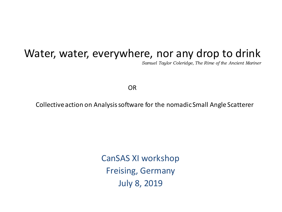#### Water, water, everywhere, nor any drop to drink

*Samuel Taylor Coleridge, The Rime of the Ancient Mariner*

OR

Collective action on Analysis software for the nomadic Small Angle Scatterer

CanSAS XI workshop Freising, Germany July 8, 2019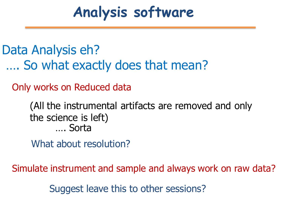### **Analysis software**

Data Analysis eh? …. So what exactly does that mean?

Only works on Reduced data

#### (All the instrumental artifacts are removed and only the science is left) …. Sorta

What about resolution?

Simulate instrument and sample and always work on raw data?

Suggest leave this to other sessions?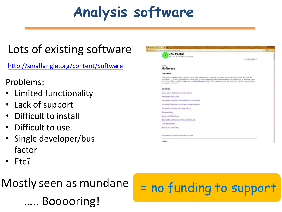### **Analysis software**

a Million

### Lots of existing software

<http://smallangle.org/content/Software>

#### Problems:

- Limited functionality
- Lack of support
- Difficult to install
- Difficult to use
- Single developer/bus factor
- Etc?

# Booooring!

## Mostly seen as mundane  $\vert$  = no funding to support

| it seinen   seisikeigk org/commet/Software                                                                                                                                                                                                                                                                                                                                                                                                                              |                          | ø<br>$\mathfrak{D}^{-}$ |
|-------------------------------------------------------------------------------------------------------------------------------------------------------------------------------------------------------------------------------------------------------------------------------------------------------------------------------------------------------------------------------------------------------------------------------------------------------------------------|--------------------------|-------------------------|
| <b>SAS Portal</b>                                                                                                                                                                                                                                                                                                                                                                                                                                                       |                          |                         |
| THE home for Small Angle Scattering                                                                                                                                                                                                                                                                                                                                                                                                                                     |                          |                         |
|                                                                                                                                                                                                                                                                                                                                                                                                                                                                         | Da Salect Language . Y . |                         |
|                                                                                                                                                                                                                                                                                                                                                                                                                                                                         |                          |                         |
| Highest in<br><b>Software</b>                                                                                                                                                                                                                                                                                                                                                                                                                                           |                          |                         |
|                                                                                                                                                                                                                                                                                                                                                                                                                                                                         |                          |                         |
| SOFTWARE                                                                                                                                                                                                                                                                                                                                                                                                                                                                |                          |                         |
| Many software packages exist for analyzing small angle scattering data. Whilst the fist below is not comprehensive, it may help guide SAS<br>practitioners by sorting them according to cribera, such as area of application, target operating system, etc Suggestions for additional entries<br>are welcome. Please send your suggestions to info@smallangle.crg. When doing so, please format your additions in a similar manner to those<br>below percye submission. |                          |                         |
| <b>CONTENTS</b>                                                                                                                                                                                                                                                                                                                                                                                                                                                         |                          |                         |
| Software for Data Reduction and Visualsation                                                                                                                                                                                                                                                                                                                                                                                                                            |                          |                         |
| Software for Model Fitting                                                                                                                                                                                                                                                                                                                                                                                                                                              |                          |                         |
| Software for the Analysis of Biomolecular & Fibre Systems                                                                                                                                                                                                                                                                                                                                                                                                               |                          |                         |
| Software for Peak fitting and Corryleton Function Analysis                                                                                                                                                                                                                                                                                                                                                                                                              |                          |                         |
| Software, for Parameter, Distribution, Analysis'                                                                                                                                                                                                                                                                                                                                                                                                                        |                          |                         |
| Software Utilities                                                                                                                                                                                                                                                                                                                                                                                                                                                      |                          |                         |
| Commercial SAS Software                                                                                                                                                                                                                                                                                                                                                                                                                                                 |                          |                         |
| Software for the Anahesis of Grazing Incidence 5AS                                                                                                                                                                                                                                                                                                                                                                                                                      |                          |                         |
| Other SAS Software                                                                                                                                                                                                                                                                                                                                                                                                                                                      |                          |                         |
| Source Code Repositories                                                                                                                                                                                                                                                                                                                                                                                                                                                |                          |                         |
|                                                                                                                                                                                                                                                                                                                                                                                                                                                                         |                          |                         |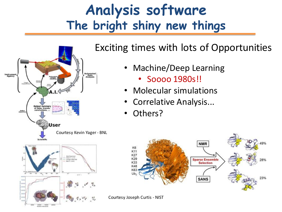### **Analysis software The bright shiny new things**



#### Exciting times with lots of Opportunities

- Machine/Deep Learning
	- Soooo 1980s!!
- Molecular simulations
- Correlative Analysis...
- Others?



Courtesy Joseph Curtis - NIST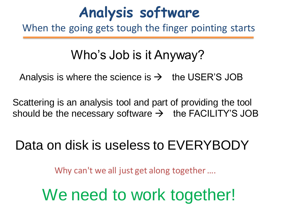### **Analysis software**

When the going gets tough the finger pointing starts

### Who's Job is it Anyway?

Analysis is where the science is  $\rightarrow$  the USER'S JOB

Scattering is an analysis tool and part of providing the tool should be the necessary software  $\rightarrow$  the FACILITY'S JOB

### Data on disk is useless to EVERYBODY

Why can't we all just get along together ....

### We need to work together!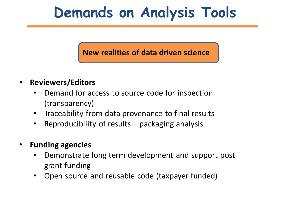### **Demands on Analysis Tools**

#### **New realities of data driven science**

- **Reviewers/Editors**
	- Demand for access to source code for inspection (transparency)
	- Traceability from data provenance to final results
	- Reproducibility of results  $-$  packaging analysis
- **Funding agencies**
	- Demonstrate long term development and support post grant funding
	- Open source and reusable code (taxpayer funded)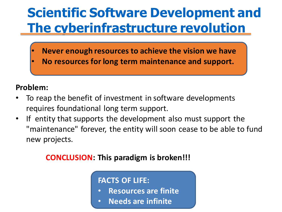### **Scientific Software Development and The cyberinfrastructure revolution**

- **Never enough resources to achieve the vision we have**
- **No resources for long term maintenance and support.**

#### **Problem:**

- To reap the benefit of investment in software developments requires foundational long term support.
- If entity that supports the development also must support the "maintenance" forever, the entity will soon cease to be able to fund new projects.

#### **CONCLUSION: This paradigm is broken!!!**

#### **FACTS OF LIFE:**

- **Resources are finite**
- **Needs are infinite**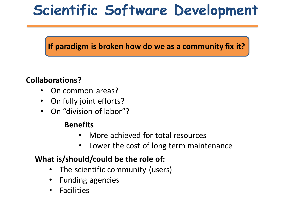### **Scientific Software Development**

#### **If paradigm is broken how do we as a community fix it?**

#### **Collaborations?**

- On common areas?
- On fully joint efforts?
- On "division of labor"?

#### **Benefits**

- More achieved for total resources
- Lower the cost of long term maintenance

#### **What is/should/could be the role of:**

- The scientific community (users)
- Funding agencies
- **Facilities**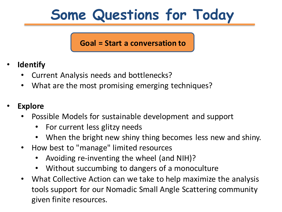### **Some Questions for Today**

#### **Goal = Start a conversation to**

- **Identify**
	- Current Analysis needs and bottlenecks?
	- What are the most promising emerging techniques?
- **Explore**
	- Possible Models for sustainable development and support
		- For current less glitzy needs
		- When the bright new shiny thing becomes less new and shiny.
	- How best to "manage" limited resources
		- Avoiding re-inventing the wheel (and NIH)?
		- Without succumbing to dangers of a monoculture
	- What Collective Action can we take to help maximize the analysis tools support for our Nomadic Small Angle Scattering community given finite resources.